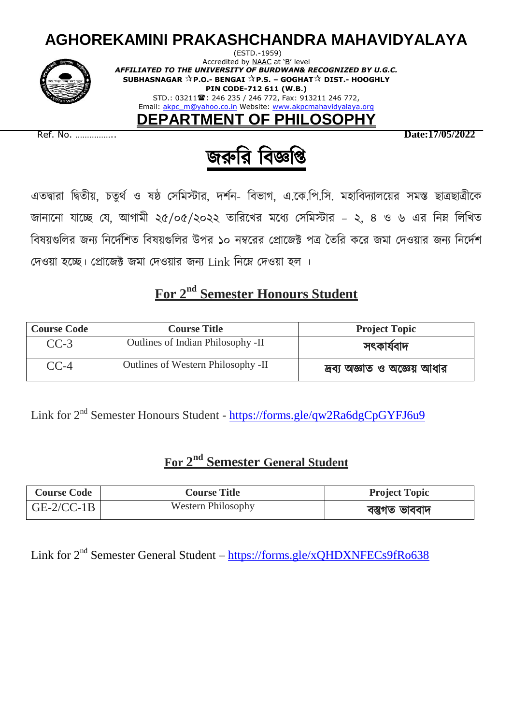# **AGHOREKAMINI PRAKASHCHANDRA MAHAVIDYALAYA**



(ESTD.-1959) Accredited by NAAC at 'B' level *AFFILIATED TO THE UNIVERSITY OF BURDWAN& RECOGNIZED BY U.G.C.* **SUBHASNAGAR P.O.- BENGAI P.S. – GOGHAT DIST.- HOOGHLY PIN CODE-712 611 (W.B.)** STD.: 03211 2: 246 235 / 246 772, Fax: 913211 246 772, Email: akpc\_m@yahoo.co.in Website: www.akpcmahavidyalaya.org

**DEPARTMENT OF PHILOSOPHY**

Ref. No. …………….. **Date:17/05/2022**



এতদ্বারা দ্বিতীয়, চতুর্থ ও ষষ্ঠ সেমিস্টার, দর্শন- বিভাগ, এ.কে.পি.সি. মহাবিদ্যালয়ের সমস্ত ছাত্রছাত্রীকে জানানো যাচ্ছে যে, আগামী ২৫/০৫/২০২২ তারিখের মধ্যে সেমিস্টার – ২, ৪ ও ৬ এর নিম্ন লিখিত বিষয়গুলির জন্য নির্দেশিত বিষয়গুলির উপর ১০ নম্বরের প্রোজেক্ট পত্র তৈরি করে জমা দেওয়ার জন্য নির্দেশ দেওয়া হচ্ছে। প্রোজেক্ট জমা দেওয়ার জন্য Link নিম্নে দেওয়া হল ।

### **For 2 nd Semester Honours Student**

| <b>Course Code</b> | <b>Course Title</b>                | <b>Project Topic</b>         |
|--------------------|------------------------------------|------------------------------|
| $CC-3$             | Outlines of Indian Philosophy -II  | সৎকাৰ্যবাদ                   |
| $CC-4$             | Outlines of Western Philosophy -II | দ্রব্য অজ্ঞাত ও অজ্ঞেয় আধার |

Link for 2<sup>nd</sup> Semester Honours Student - <https://forms.gle/qw2Ra6dgCpGYFJ6u9>

## **For 2 nd Semester General Student**

| <b>Course Code</b> | <b>Course Title</b>       | <b>Project Topic</b> |
|--------------------|---------------------------|----------------------|
| $GE-2/CC-1B$       | <b>Western Philosophy</b> | বস্তুগত ভাববাদ       |

Link for 2<sup>nd</sup> Semester General Student – <https://forms.gle/xQHDXNFECs9fRo638>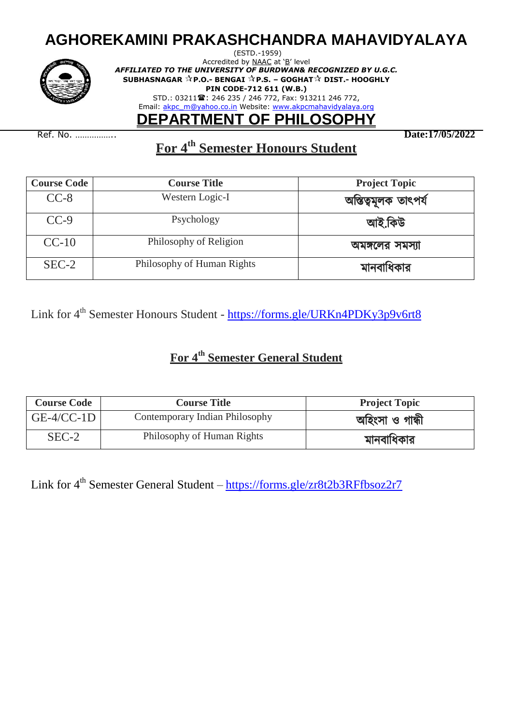# **AGHOREKAMINI PRAKASHCHANDRA MAHAVIDYALAYA**



(ESTD.-1959) Accredited by NAAC at 'B' level *AFFILIATED TO THE UNIVERSITY OF BURDWAN& RECOGNIZED BY U.G.C.* **SUBHASNAGAR P.O.- BENGAI P.S. – GOGHAT DIST.- HOOGHLY PIN CODE-712 611 (W.B.)** STD.: 03211 2: 246 235 / 246 772, Fax: 913211 246 772, Email: akpc\_m@yahoo.co.in Website: www.akpcmahavidyalaya.org

## **DEPARTMENT OF PHILOSOPHY**

Ref. No. …………….. **Date:17/05/2022**

### **For 4 th Semester Honours Student**

| <b>Course Code</b> | <b>Course Title</b>        | <b>Project Topic</b> |
|--------------------|----------------------------|----------------------|
| $CC-8$             | Western Logic-I            | অস্তিত্বমূলক তাৎপর্য |
| $CC-9$             | Psychology                 | আই.কিউ               |
| $CC-10$            | Philosophy of Religion     | অমঙ্গলের সমস্যা      |
| $SEC-2$            | Philosophy of Human Rights | মানবাধিকার           |

Link for 4<sup>th</sup> Semester Honours Student - <https://forms.gle/URKn4PDKy3p9v6rt8>

#### **For 4 th Semester General Student**

| <b>Course Code</b> | <b>Course Title</b>            | <b>Project Topic</b> |
|--------------------|--------------------------------|----------------------|
| $GE-4/CC-1D$       | Contemporary Indian Philosophy | অহিংসা ও গান্ধী      |
| $SEC-2$            | Philosophy of Human Rights     | মানবাধিকার           |

Link for 4<sup>th</sup> Semester General Student – <https://forms.gle/zr8t2b3RFfbsoz2r7>